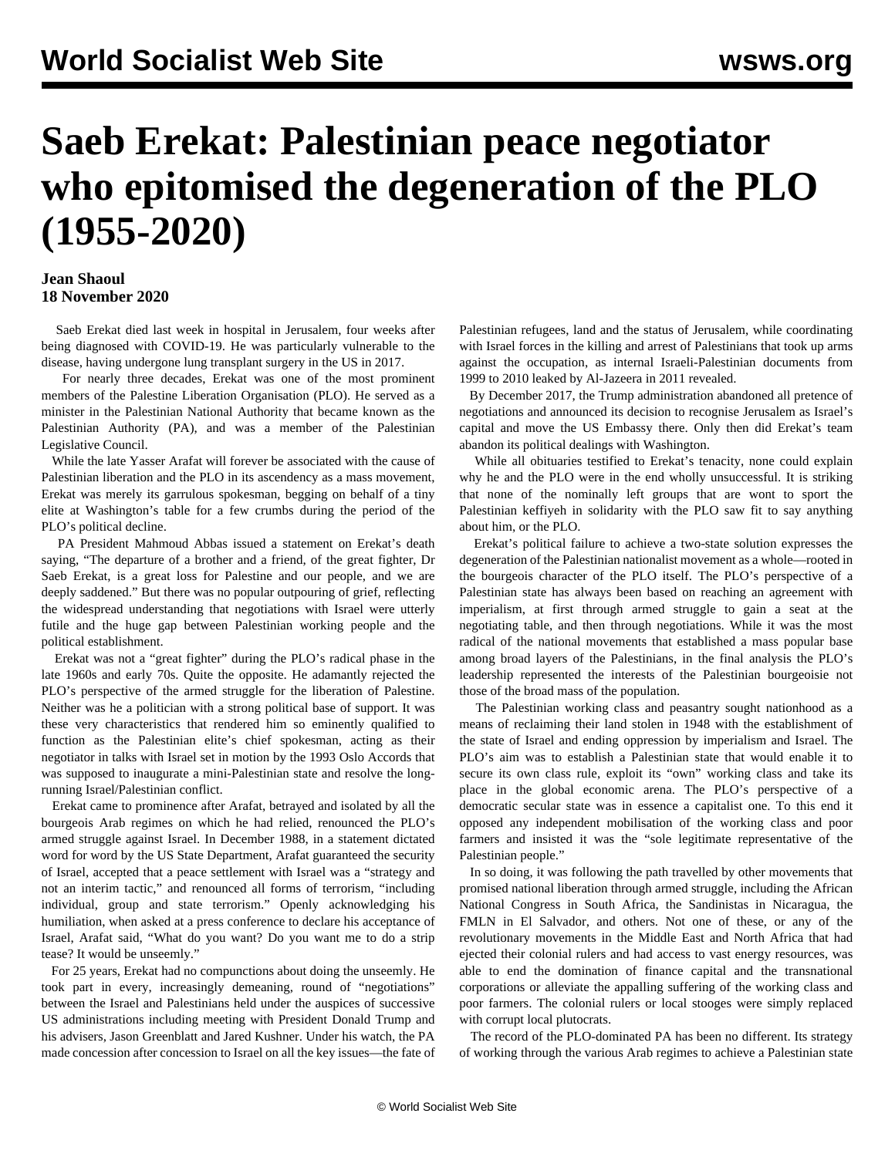# **Saeb Erekat: Palestinian peace negotiator who epitomised the degeneration of the PLO (1955-2020)**

### **Jean Shaoul 18 November 2020**

 Saeb Erekat died last week in hospital in Jerusalem, four weeks after being diagnosed with COVID-19. He was particularly vulnerable to the disease, having undergone lung transplant surgery in the US in 2017.

 For nearly three decades, Erekat was one of the most prominent members of the Palestine Liberation Organisation (PLO). He served as a minister in the Palestinian National Authority that became known as the Palestinian Authority (PA), and was a member of the Palestinian Legislative Council.

 While the late Yasser Arafat will forever be associated with the cause of Palestinian liberation and the PLO in its ascendency as a mass movement, Erekat was merely its garrulous spokesman, begging on behalf of a tiny elite at Washington's table for a few crumbs during the period of the PLO's political decline.

 PA President Mahmoud Abbas issued a statement on Erekat's death saying, "The departure of a brother and a friend, of the great fighter, Dr Saeb Erekat, is a great loss for Palestine and our people, and we are deeply saddened." But there was no popular outpouring of grief, reflecting the widespread understanding that negotiations with Israel were utterly futile and the huge gap between Palestinian working people and the political establishment.

 Erekat was not a "great fighter" during the PLO's radical phase in the late 1960s and early 70s. Quite the opposite. He adamantly rejected the PLO's perspective of the armed struggle for the liberation of Palestine. Neither was he a politician with a strong political base of support. It was these very characteristics that rendered him so eminently qualified to function as the Palestinian elite's chief spokesman, acting as their negotiator in talks with Israel set in motion by the 1993 Oslo Accords that was supposed to inaugurate a mini-Palestinian state and resolve the longrunning Israel/Palestinian conflict.

 Erekat came to prominence after Arafat, betrayed and isolated by all the bourgeois Arab regimes on which he had relied, renounced the PLO's armed struggle against Israel. In December 1988, in a statement dictated word for word by the US State Department, Arafat guaranteed the security of Israel, accepted that a peace settlement with Israel was a "strategy and not an interim tactic," and renounced all forms of terrorism, "including individual, group and state terrorism." Openly acknowledging his humiliation, when asked at a press conference to declare his acceptance of Israel, Arafat said, "What do you want? Do you want me to do a strip tease? It would be unseemly."

 For 25 years, Erekat had no compunctions about doing the unseemly. He took part in every, increasingly demeaning, round of "negotiations" between the Israel and Palestinians held under the auspices of successive US administrations including meeting with President Donald Trump and his advisers, Jason Greenblatt and Jared Kushner. Under his watch, the PA made concession after concession to Israel on all the key issues—the fate of Palestinian refugees, land and the status of Jerusalem, while coordinating with Israel forces in the killing and arrest of Palestinians that took up arms against the occupation, as internal Israeli-Palestinian documents from 1999 to 2010 leaked by Al-Jazeera in 2011 revealed.

 By December 2017, the Trump administration abandoned all pretence of negotiations and announced its decision to recognise Jerusalem as Israel's capital and move the US Embassy there. Only then did Erekat's team abandon its political dealings with Washington.

 While all obituaries testified to Erekat's tenacity, none could explain why he and the PLO were in the end wholly unsuccessful. It is striking that none of the nominally left groups that are wont to sport the Palestinian keffiyeh in solidarity with the PLO saw fit to say anything about him, or the PLO.

 Erekat's political failure to achieve a two-state solution expresses the degeneration of the Palestinian nationalist movement as a whole—rooted in the bourgeois character of the PLO itself. The PLO's perspective of a Palestinian state has always been based on reaching an agreement with imperialism, at first through armed struggle to gain a seat at the negotiating table, and then through negotiations. While it was the most radical of the national movements that established a mass popular base among broad layers of the Palestinians, in the final analysis the PLO's leadership represented the interests of the Palestinian bourgeoisie not those of the broad mass of the population.

 The Palestinian working class and peasantry sought nationhood as a means of reclaiming their land stolen in 1948 with the establishment of the state of Israel and ending oppression by imperialism and Israel. The PLO's aim was to establish a Palestinian state that would enable it to secure its own class rule, exploit its "own" working class and take its place in the global economic arena. The PLO's perspective of a democratic secular state was in essence a capitalist one. To this end it opposed any independent mobilisation of the working class and poor farmers and insisted it was the "sole legitimate representative of the Palestinian people."

 In so doing, it was following the path travelled by other movements that promised national liberation through armed struggle, including the African National Congress in South Africa, the Sandinistas in Nicaragua, the FMLN in El Salvador, and others. Not one of these, or any of the revolutionary movements in the Middle East and North Africa that had ejected their colonial rulers and had access to vast energy resources, was able to end the domination of finance capital and the transnational corporations or alleviate the appalling suffering of the working class and poor farmers. The colonial rulers or local stooges were simply replaced with corrupt local plutocrats.

 The record of the PLO-dominated PA has been no different. Its strategy of working through the various Arab regimes to achieve a Palestinian state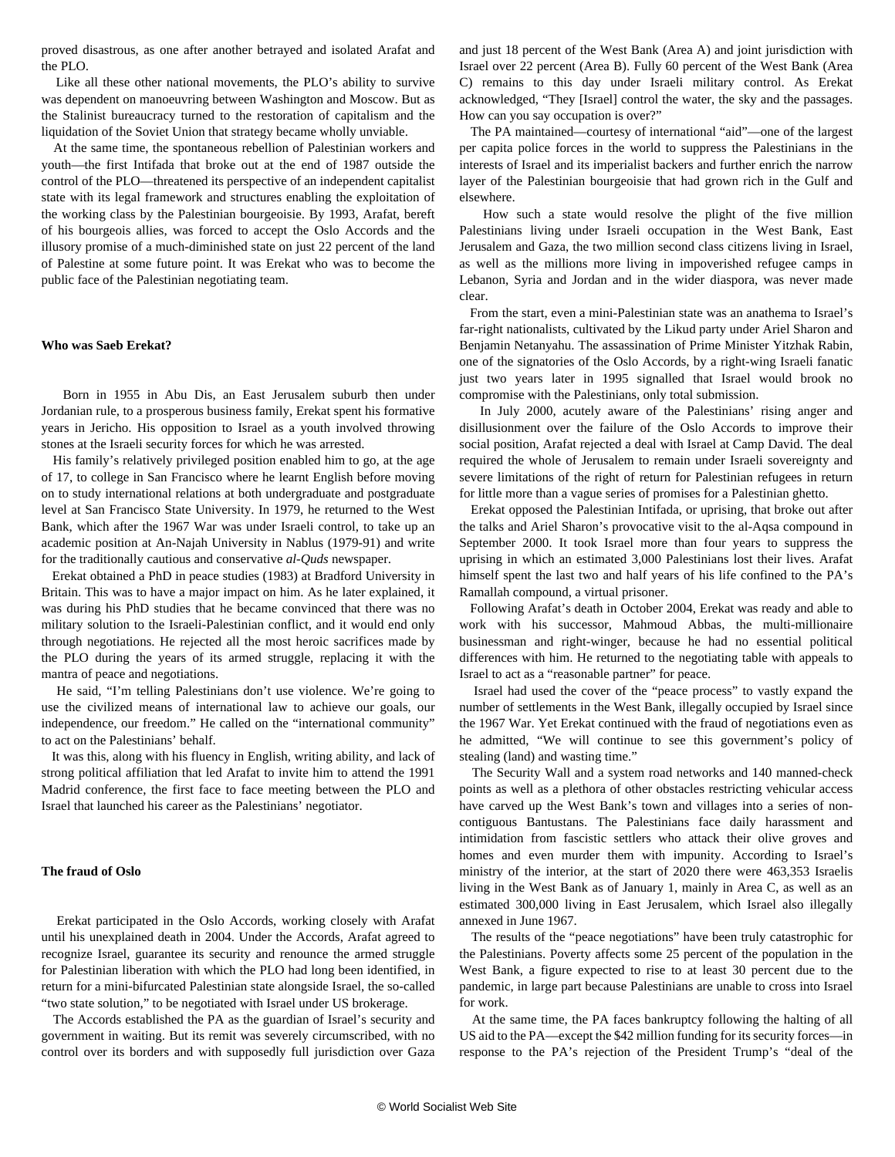proved disastrous, as one after another betrayed and isolated Arafat and the PLO.

 Like all these other national movements, the PLO's ability to survive was dependent on manoeuvring between Washington and Moscow. But as the Stalinist bureaucracy turned to the restoration of capitalism and the liquidation of the Soviet Union that strategy became wholly unviable.

 At the same time, the spontaneous rebellion of Palestinian workers and youth—the first Intifada that broke out at the end of 1987 outside the control of the PLO—threatened its perspective of an independent capitalist state with its legal framework and structures enabling the exploitation of the working class by the Palestinian bourgeoisie. By 1993, Arafat, bereft of his bourgeois allies, was forced to accept the Oslo Accords and the illusory promise of a much-diminished state on just 22 percent of the land of Palestine at some future point. It was Erekat who was to become the public face of the Palestinian negotiating team.

#### **Who was Saeb Erekat?**

 Born in 1955 in Abu Dis, an East Jerusalem suburb then under Jordanian rule, to a prosperous business family, Erekat spent his formative years in Jericho. His opposition to Israel as a youth involved throwing stones at the Israeli security forces for which he was arrested.

 His family's relatively privileged position enabled him to go, at the age of 17, to college in San Francisco where he learnt English before moving on to study international relations at both undergraduate and postgraduate level at San Francisco State University. In 1979, he returned to the West Bank, which after the 1967 War was under Israeli control, to take up an academic position at An-Najah University in Nablus (1979-91) and write for the traditionally cautious and conservative *al-Quds* newspaper.

 Erekat obtained a PhD in peace studies (1983) at Bradford University in Britain. This was to have a major impact on him. As he later explained, it was during his PhD studies that he became convinced that there was no military solution to the Israeli-Palestinian conflict, and it would end only through negotiations. He rejected all the most heroic sacrifices made by the PLO during the years of its armed struggle, replacing it with the mantra of peace and negotiations.

 He said, "I'm telling Palestinians don't use violence. We're going to use the civilized means of international law to achieve our goals, our independence, our freedom." He called on the "international community" to act on the Palestinians' behalf.

 It was this, along with his fluency in English, writing ability, and lack of strong political affiliation that led Arafat to invite him to attend the 1991 Madrid conference, the first face to face meeting between the PLO and Israel that launched his career as the Palestinians' negotiator.

#### **The fraud of Oslo**

 Erekat participated in the Oslo Accords, working closely with Arafat until his unexplained death in 2004. Under the Accords, Arafat agreed to recognize Israel, guarantee its security and renounce the armed struggle for Palestinian liberation with which the PLO had long been identified, in return for a mini-bifurcated Palestinian state alongside Israel, the so-called "two state solution," to be negotiated with Israel under US brokerage.

 The Accords established the PA as the guardian of Israel's security and government in waiting. But its remit was severely circumscribed, with no control over its borders and with supposedly full jurisdiction over Gaza and just 18 percent of the West Bank (Area A) and joint jurisdiction with Israel over 22 percent (Area B). Fully 60 percent of the West Bank (Area C) remains to this day under Israeli military control. As Erekat acknowledged, "They [Israel] control the water, the sky and the passages. How can you say occupation is over?"

 The PA maintained—courtesy of international "aid"—one of the largest per capita police forces in the world to suppress the Palestinians in the interests of Israel and its imperialist backers and further enrich the narrow layer of the Palestinian bourgeoisie that had grown rich in the Gulf and elsewhere.

 How such a state would resolve the plight of the five million Palestinians living under Israeli occupation in the West Bank, East Jerusalem and Gaza, the two million second class citizens living in Israel, as well as the millions more living in impoverished refugee camps in Lebanon, Syria and Jordan and in the wider diaspora, was never made clear.

 From the start, even a mini-Palestinian state was an anathema to Israel's far-right nationalists, cultivated by the Likud party under Ariel Sharon and Benjamin Netanyahu. The assassination of Prime Minister Yitzhak Rabin, one of the signatories of the Oslo Accords, by a right-wing Israeli fanatic just two years later in 1995 signalled that Israel would brook no compromise with the Palestinians, only total submission.

 In July 2000, acutely aware of the Palestinians' rising anger and disillusionment over the failure of the Oslo Accords to improve their social position, Arafat rejected a deal with Israel at Camp David. The deal required the whole of Jerusalem to remain under Israeli sovereignty and severe limitations of the right of return for Palestinian refugees in return for little more than a vague series of promises for a Palestinian ghetto.

 Erekat opposed the Palestinian Intifada, or uprising, that broke out after the talks and Ariel Sharon's provocative visit to the al-Aqsa compound in September 2000. It took Israel more than four years to suppress the uprising in which an estimated 3,000 Palestinians lost their lives. Arafat himself spent the last two and half years of his life confined to the PA's Ramallah compound, a virtual prisoner.

 Following Arafat's death in October 2004, Erekat was ready and able to work with his successor, Mahmoud Abbas, the multi-millionaire businessman and right-winger, because he had no essential political differences with him. He returned to the negotiating table with appeals to Israel to act as a "reasonable partner" for peace.

 Israel had used the cover of the "peace process" to vastly expand the number of settlements in the West Bank, illegally occupied by Israel since the 1967 War. Yet Erekat continued with the fraud of negotiations even as he admitted, "We will continue to see this government's policy of stealing (land) and wasting time."

 The Security Wall and a system road networks and 140 manned-check points as well as a plethora of other obstacles restricting vehicular access have carved up the West Bank's town and villages into a series of noncontiguous Bantustans. The Palestinians face daily harassment and intimidation from fascistic settlers who attack their olive groves and homes and even murder them with impunity. According to Israel's ministry of the interior, at the start of 2020 there were 463,353 Israelis living in the West Bank as of January 1, mainly in Area C, as well as an estimated 300,000 living in East Jerusalem, which Israel also illegally annexed in June 1967.

 The results of the "peace negotiations" have been truly catastrophic for the Palestinians. Poverty affects some 25 percent of the population in the West Bank, a figure expected to rise to at least 30 percent due to the pandemic, in large part because Palestinians are unable to cross into Israel for work.

 At the same time, the PA faces bankruptcy following the halting of all US aid to the PA—except the \$42 million funding for its security forces—in response to the PA's rejection of the President Trump's "deal of the